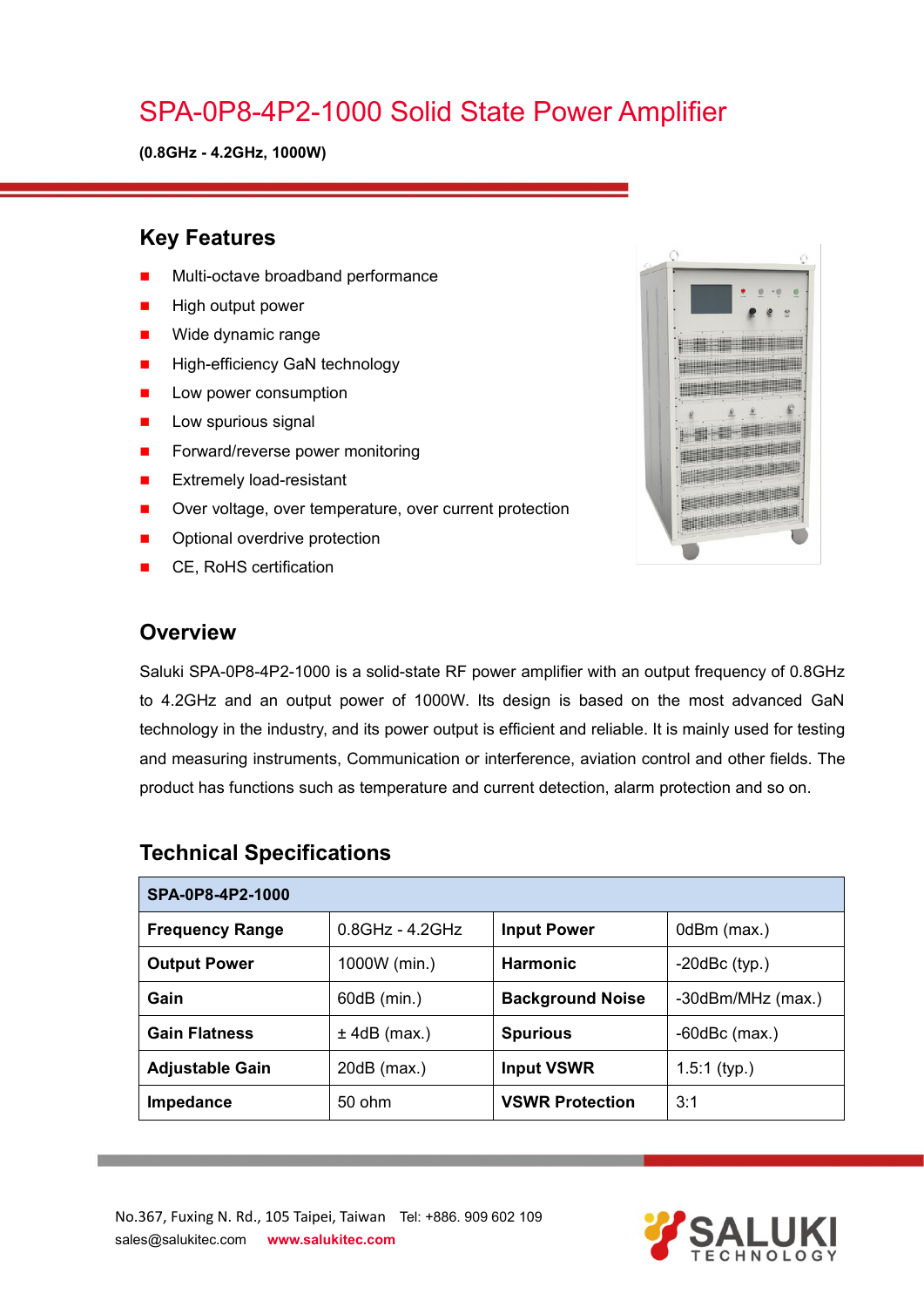## SPA-0P8-4P2-1000 Solid State Power Amplifier

**(0.8GHz - 4.2GHz, 1000W)**

#### **Key Features**

- Multi-octave broadband performance
- High output power
- **Nide dynamic range**
- **High-efficiency GaN technology**
- **Low power consumption**
- $\blacksquare$  Low spurious signal
- Forward/reverse power monitoring
- **EXtremely load-resistant**
- **During Cover voltage, over temperature, over current protection**
- Optional overdrive protection
- CE, RoHS certification



#### **Overview**

Saluki SPA-0P8-4P2-1000 is a solid-state RF power amplifier with an output frequency of 0.8GHz to 4.2GHz and an output power of 1000W. Its design is based on the most advanced GaN technology in the industry, and its power output is efficient and reliable. It is mainly used for testing and measuring instruments, Communication or interference, aviation control and other fields. The product has functions such as temperature and current detection, alarm protection and so on.

| SPA-0P8-4P2-1000       |                    |                         |                     |  |
|------------------------|--------------------|-------------------------|---------------------|--|
| <b>Frequency Range</b> | $0.8$ GHz - 4.2GHz | <b>Input Power</b>      | 0dBm (max.)         |  |
| <b>Output Power</b>    | 1000W (min.)       | <b>Harmonic</b>         | $-20$ d $Bc$ (typ.) |  |
| Gain                   | 60dB (min.)        | <b>Background Noise</b> | -30dBm/MHz (max.)   |  |
| <b>Gain Flatness</b>   | $±$ 4dB (max.)     | <b>Spurious</b>         | $-60$ dBc $(max.)$  |  |
| <b>Adjustable Gain</b> | $20dB$ (max.)      | <b>Input VSWR</b>       | $1.5:1$ (typ.)      |  |
| Impedance              | 50 ohm             | <b>VSWR Protection</b>  | 3:1                 |  |

#### **Technical Specifications**